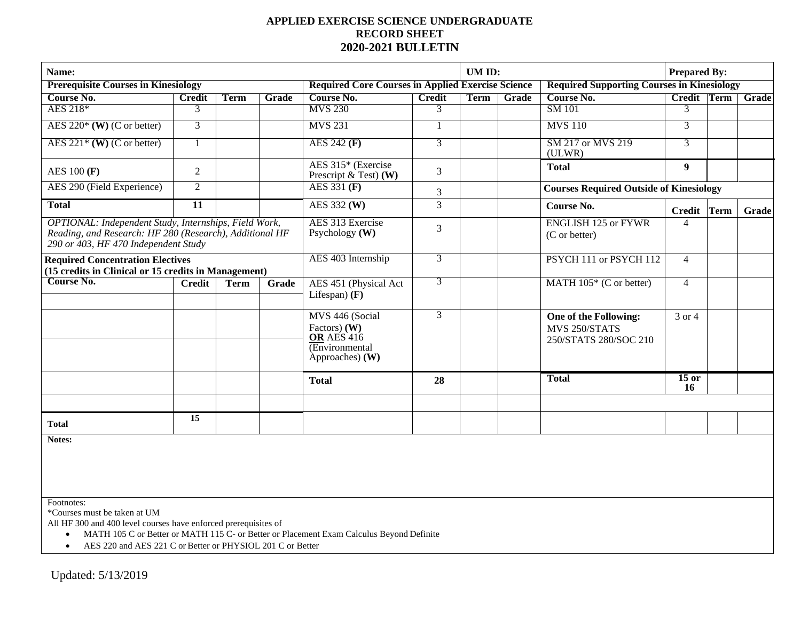## **APPLIED EXERCISE SCIENCE UNDERGRADUATE RECORD SHEET 2020-2021 BULLETIN**

| Name:                                                                                                                                                    |                 |             |       |                                                                                               |               |             | UM ID: |                                                                 |                | <b>Prepared By:</b> |              |  |
|----------------------------------------------------------------------------------------------------------------------------------------------------------|-----------------|-------------|-------|-----------------------------------------------------------------------------------------------|---------------|-------------|--------|-----------------------------------------------------------------|----------------|---------------------|--------------|--|
| <b>Prerequisite Courses in Kinesiology</b>                                                                                                               |                 |             |       | <b>Required Core Courses in Applied Exercise Science</b>                                      |               |             |        | <b>Required Supporting Courses in Kinesiology</b>               |                |                     |              |  |
| Course No.                                                                                                                                               | <b>Credit</b>   | Term        | Grade | Course No.                                                                                    | <b>Credit</b> | <b>Term</b> | Grade  | Course No.                                                      | Credit Term    |                     | <b>Grade</b> |  |
| AES 218*                                                                                                                                                 | 3               |             |       | <b>MVS 230</b>                                                                                | 3             |             |        | <b>SM 101</b>                                                   | 3              |                     |              |  |
| AES $220^*$ (W) (C or better)                                                                                                                            | 3               |             |       | <b>MVS 231</b>                                                                                |               |             |        | <b>MVS 110</b>                                                  | 3              |                     |              |  |
| AES $221*$ (W) (C or better)                                                                                                                             |                 |             |       | AES $242$ (F)                                                                                 | 3             |             |        | SM 217 or MVS 219<br>(ULWR)                                     | 3              |                     |              |  |
| AES $100$ (F)                                                                                                                                            | 2               |             |       | AES 315* (Exercise<br>Prescript $\&$ Test) (W)                                                | 3             |             |        | <b>Total</b>                                                    | 9 <sup>°</sup> |                     |              |  |
| AES 290 (Field Experience)                                                                                                                               | 2               |             |       | $AES$ 331 $(F)$                                                                               | 3             |             |        | <b>Courses Required Outside of Kinesiology</b>                  |                |                     |              |  |
| <b>Total</b>                                                                                                                                             | $\overline{11}$ |             |       | $\overline{\text{AES}}$ 332 (W)                                                               | 3             |             |        | Course No.                                                      | <b>Credit</b>  | Term                | Grade        |  |
| OPTIONAL: Independent Study, Internships, Field Work,<br>Reading, and Research: HF 280 (Research), Additional HF<br>290 or 403, HF 470 Independent Study |                 |             |       | AES 313 Exercise<br>Psychology $(W)$                                                          | 3             |             |        | <b>ENGLISH 125 or FYWR</b><br>(C or better)                     | $\overline{A}$ |                     |              |  |
| <b>Required Concentration Electives</b>                                                                                                                  |                 |             |       | AES 403 Internship                                                                            | 3             |             |        | PSYCH 111 or PSYCH 112                                          | $\overline{4}$ |                     |              |  |
| (15 credits in Clinical or 15 credits in Management)                                                                                                     |                 |             |       |                                                                                               |               |             |        |                                                                 |                |                     |              |  |
| <b>Course No.</b>                                                                                                                                        | <b>Credit</b>   | <b>Term</b> | Grade | AES 451 (Physical Act<br>Lifespan $(F)$                                                       | 3             |             |        | MATH 105* (C or better)                                         | $\overline{4}$ |                     |              |  |
|                                                                                                                                                          |                 |             |       | MVS 446 (Social<br>Factors) $(W)$<br><b>OR AES 416</b><br>$E$ nvironmental<br>Approaches) (W) | 3             |             |        | One of the Following:<br>MVS 250/STATS<br>250/STATS 280/SOC 210 | 3 or 4         |                     |              |  |
|                                                                                                                                                          |                 |             |       | <b>Total</b>                                                                                  | 28            |             |        | <b>Total</b>                                                    | $15$ or<br>16  |                     |              |  |
|                                                                                                                                                          |                 |             |       |                                                                                               |               |             |        |                                                                 |                |                     |              |  |
| <b>Total</b>                                                                                                                                             | 15              |             |       |                                                                                               |               |             |        |                                                                 |                |                     |              |  |

**Notes:**

Footnotes:

\*Courses must be taken at UM

All HF 300 and 400 level courses have enforced prerequisites of

• MATH 105 C or Better or MATH 115 C- or Better or Placement Exam Calculus Beyond Definite

• AES 220 and AES 221 C or Better or PHYSIOL 201 C or Better